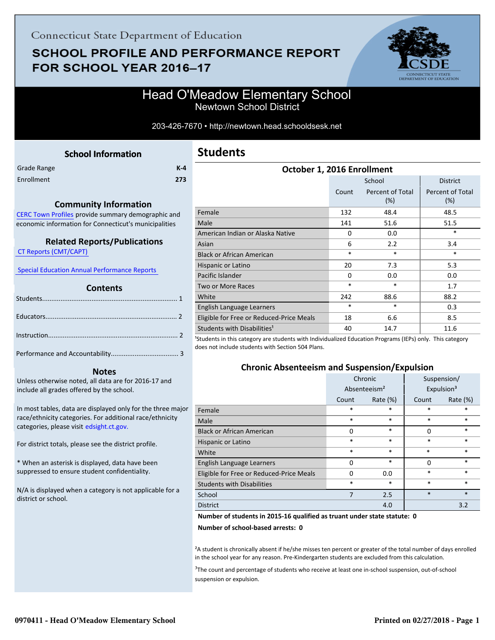# **SCHOOL PROFILE AND PERFORMANCE REPORT** FOR SCHOOL YEAR 2016-17



### Head O'Meadow Elementary School Newtown School District

203-426-7670 • http://newtown.head.schooldsesk.net

<span id="page-0-0"></span>

| Grade Range | $K-4$ |
|-------------|-------|
| Enrollment  | 273   |

#### **Community Information**

[CERC Town Profiles provide summary demographic and](http://www.cerc.com/townprofiles/) economic information for Connecticut's municipalities

#### **Related Reports/Publications**

 [CT Reports \(CMT/CAPT\)](http://ctreports.com/) 

 [Special Education Annual Performance Reports](http://edsight.ct.gov/SASPortal/main.do) 

#### **Contents**

#### **Notes**

Unless otherwise noted, all data are for 2016-17 and include all grades offered by the school.

[In most tables, data are displayed only for the three major](http://edsight.ct.gov/) race/ethnicity categories. For additional race/ethnicity categories, please visit edsight.ct.gov.

For district totals, please see the district profile.

\* When an asterisk is displayed, data have been suppressed to ensure student confidentiality.

N/A is displayed when a category is not applicable for a district or school.

| School<br><b>District</b><br>Percent of Total<br>Percent of Total<br>Count |  |
|----------------------------------------------------------------------------|--|
|                                                                            |  |
| (%)<br>(%)                                                                 |  |
| Female<br>132<br>48.4<br>48.5                                              |  |
| Male<br>141<br>51.6<br>51.5                                                |  |
| $\ast$<br>American Indian or Alaska Native<br>0.0<br>$\Omega$              |  |
| 2.2<br>6<br>3.4<br>Asian                                                   |  |
| $\ast$<br>$\ast$<br>$\ast$<br><b>Black or African American</b>             |  |
| 20<br>7.3<br>5.3<br>Hispanic or Latino                                     |  |
| Pacific Islander<br>0.0<br>0.0<br>$\Omega$                                 |  |
| $\ast$<br>$\ast$<br>1.7<br><b>Two or More Races</b>                        |  |
| 88.2<br>White<br>242<br>88.6                                               |  |
| *<br>$\ast$<br>0.3<br>English Language Learners                            |  |
| Eligible for Free or Reduced-Price Meals<br>6.6<br>8.5<br>18               |  |
| Students with Disabilities <sup>1</sup><br>11.6<br>14.7<br>40              |  |

<sup>1</sup>Students in this category are students with Individualized Education Programs (IEPs) only. This category does not include students with Section 504 Plans.

#### **Chronic Absenteeism and Suspension/Expulsion**

|                                          | Chronic                  |             | Suspension/            |          |
|------------------------------------------|--------------------------|-------------|------------------------|----------|
|                                          | Absenteeism <sup>2</sup> |             | Expulsion <sup>3</sup> |          |
|                                          | Count                    | Rate $(\%)$ | Count                  | Rate (%) |
| Female                                   | $\ast$                   | *           | *                      | *        |
| Male                                     | $\ast$                   | $\ast$      | $\ast$                 | $\ast$   |
| <b>Black or African American</b>         | 0                        | $\ast$      | $\Omega$               | $\ast$   |
| Hispanic or Latino                       | $\ast$                   | $\ast$      | *                      | $\ast$   |
| White                                    | $\ast$                   | $\ast$      | $\ast$                 | $\ast$   |
| English Language Learners                | 0                        | $\ast$      | $\Omega$               | $\ast$   |
| Eligible for Free or Reduced-Price Meals | 0                        | 0.0         | $\ast$                 | $\ast$   |
| <b>Students with Disabilities</b>        | $\ast$                   | $\ast$      | $\ast$                 | $\ast$   |
| School                                   | 7                        | 2.5         | $\ast$                 | $\ast$   |
| <b>District</b>                          |                          | 4.0         |                        | 3.2      |

#### **Number of students in 2015-16 qualified as truant under state statute: 0**

**Number of school-based arrests: 0**

²A student is chronically absent if he/she misses ten percent or greater of the total number of days enrolled in the school year for any reason. Pre-Kindergarten students are excluded from this calculation.

<sup>3</sup>The count and percentage of students who receive at least one in-school suspension, out-of-school suspension or expulsion.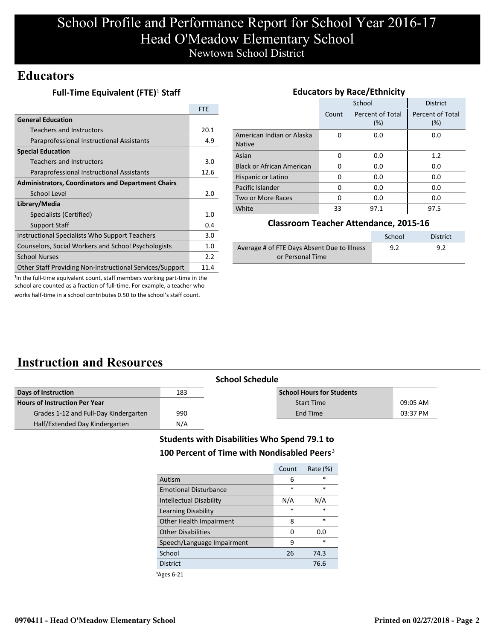# School Profile and Performance Report for School Year 2016-17 Head O'Meadow Elementary School Newtown School District

### **Educators**

|  | Full-Time Equivalent (FTE) <sup>1</sup> Staff |  |
|--|-----------------------------------------------|--|
|--|-----------------------------------------------|--|

|                                                           | <b>FTF</b> |
|-----------------------------------------------------------|------------|
| <b>General Education</b>                                  |            |
| Teachers and Instructors                                  | 20.1       |
| Paraprofessional Instructional Assistants                 | 4.9        |
| <b>Special Education</b>                                  |            |
| Teachers and Instructors                                  | 3.0        |
| Paraprofessional Instructional Assistants                 | 12.6       |
| <b>Administrators, Coordinators and Department Chairs</b> |            |
| School Level                                              | 2.0        |
| Library/Media                                             |            |
| Specialists (Certified)                                   | 1.0        |
| <b>Support Staff</b>                                      | 0.4        |
| Instructional Specialists Who Support Teachers            | 3.0        |
| Counselors, Social Workers and School Psychologists       | 1.0        |
| <b>School Nurses</b>                                      | 2.2        |
| Other Staff Providing Non-Instructional Services/Support  | 11.4       |

| <b>Educators by Race/Ethnicity</b>         |       |                         |                         |  |
|--------------------------------------------|-------|-------------------------|-------------------------|--|
|                                            |       | School                  | <b>District</b>         |  |
|                                            | Count | Percent of Total<br>(%) | Percent of Total<br>(%) |  |
| American Indian or Alaska<br><b>Native</b> | 0     | 0.0                     | 0.0                     |  |
| Asian                                      | 0     | 0.0                     | 1.2                     |  |
| <b>Black or African American</b>           | 0     | 0.0                     | 0.0                     |  |
| Hispanic or Latino                         | 0     | 0.0                     | 0.0                     |  |
| Pacific Islander                           | 0     | 0.0                     | 0.0                     |  |
| Two or More Races                          | 0     | 0.0                     | 0.0                     |  |
| White                                      | 33    | 97.1                    | 97.5                    |  |

#### **Classroom Teacher Attendance, 2015-16**

|                                             | School | <b>District</b> |
|---------------------------------------------|--------|-----------------|
| Average # of FTE Days Absent Due to Illness | 9.2    | 9.2             |
| or Personal Time                            |        |                 |

<sup>1</sup>In the full-time equivalent count, staff members working part-time in the school are counted as a fraction of full-time. For example, a teacher who works half-time in a school contributes 0.50 to the school's staff count.

## **Instruction and Resources**

|                                       |     | <b>School Schedule</b>           |          |
|---------------------------------------|-----|----------------------------------|----------|
| Days of Instruction                   | 183 | <b>School Hours for Students</b> |          |
| <b>Hours of Instruction Per Year</b>  |     | <b>Start Time</b>                | 09:05 AM |
| Grades 1-12 and Full-Day Kindergarten | 990 | End Time                         | 03:37 PM |
| Half/Extended Day Kindergarten        | N/A |                                  |          |

#### **Students with Disabilities Who Spend 79.1 to** 100 Percent of Time with Nondisabled Peers<sup>3</sup>

|                              | Count  | Rate $(\%)$ |
|------------------------------|--------|-------------|
| Autism                       | 6      | *           |
| <b>Emotional Disturbance</b> | $\ast$ | $\star$     |
| Intellectual Disability      | N/A    | N/A         |
| Learning Disability          | $\ast$ | $\ast$      |
| Other Health Impairment      | 8      | $\ast$      |
| <b>Other Disabilities</b>    | 0      | 0.O         |
| Speech/Language Impairment   | 9      | $\ast$      |
| School                       | 26     | 74.3        |
| <b>District</b>              |        | 76.6        |
|                              |        |             |

³Ages 6-21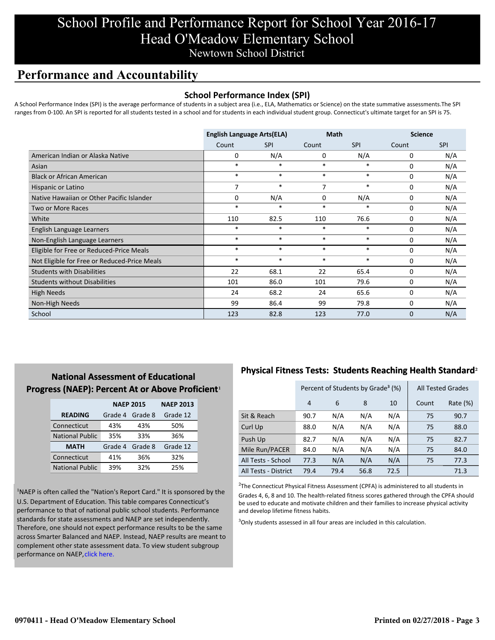## School Profile and Performance Report for School Year 2016-17 Head O'Meadow Elementary School Newtown School District

### **Performance and Accountability**

#### **School Performance Index (SPI)**

A School Performance Index (SPI) is the average performance of students in a subject area (i.e., ELA, Mathematics or Science) on the state summative assessments.The SPI ranges from 0-100. An SPI is reported for all students tested in a school and for students in each individual student group. Connecticut's ultimate target for an SPI is 75.

|                                              | <b>English Language Arts(ELA)</b> |            | <b>Math</b> |            | <b>Science</b> |            |
|----------------------------------------------|-----------------------------------|------------|-------------|------------|----------------|------------|
|                                              | Count                             | <b>SPI</b> | Count       | <b>SPI</b> | Count          | <b>SPI</b> |
| American Indian or Alaska Native             | 0                                 | N/A        | 0           | N/A        | 0              | N/A        |
| Asian                                        | $\ast$                            | $\ast$     | $\ast$      | $\ast$     | 0              | N/A        |
| <b>Black or African American</b>             | $\ast$                            | $\ast$     | $\ast$      | $\ast$     | 0              | N/A        |
| Hispanic or Latino                           | 7                                 | $\ast$     | 7           | $\ast$     | 0              | N/A        |
| Native Hawaiian or Other Pacific Islander    | 0                                 | N/A        | $\mathbf 0$ | N/A        | $\mathbf 0$    | N/A        |
| Two or More Races                            | $\ast$                            | $\ast$     | $\ast$      | *          | 0              | N/A        |
| White                                        | 110                               | 82.5       | 110         | 76.6       | 0              | N/A        |
| English Language Learners                    | $\ast$                            | $\ast$     | $\ast$      | $\ast$     | 0              | N/A        |
| Non-English Language Learners                | $\ast$                            | $\ast$     | $\ast$      | $\ast$     | 0              | N/A        |
| Eligible for Free or Reduced-Price Meals     | *                                 | $\ast$     | $\ast$      | $\ast$     | 0              | N/A        |
| Not Eligible for Free or Reduced-Price Meals | *                                 | $\ast$     | $\ast$      | $\ast$     | $\mathbf 0$    | N/A        |
| <b>Students with Disabilities</b>            | 22                                | 68.1       | 22          | 65.4       | $\mathbf 0$    | N/A        |
| <b>Students without Disabilities</b>         | 101                               | 86.0       | 101         | 79.6       | 0              | N/A        |
| <b>High Needs</b>                            | 24                                | 68.2       | 24          | 65.6       | 0              | N/A        |
| Non-High Needs                               | 99                                | 86.4       | 99          | 79.8       | 0              | N/A        |
| School                                       | 123                               | 82.8       | 123         | 77.0       | 0              | N/A        |

### **National Assessment of Educational Progress (NAEP): Percent At or Above Proficient1**

|                        | <b>NAEP 2015</b> | <b>NAEP 2013</b> |          |
|------------------------|------------------|------------------|----------|
| <b>READING</b>         | Grade 4          | Grade 8          | Grade 12 |
| Connecticut            | 43%              | 43%              | 50%      |
| <b>National Public</b> | 35%              | 33%              | 36%      |
| <b>MATH</b>            | Grade 4          | Grade 8          | Grade 12 |
| Connecticut            | 41%              | 36%              | 32%      |
| <b>National Public</b> | 39%              | 32%              | 25%      |

<sup>1</sup>NAEP is often called the "Nation's Report Card." It is sponsored by the U.S. Department of Education. This table compares Connecticut's performance to that of national public school students. Performance standards for state assessments and NAEP are set independently. Therefore, one should not expect performance results to be the same [across Smarter Balanced and NAEP. Instead, NAEP results are meant to](http://portal.ct.gov/-/media/SDE/Student-Assessment/NAEP/ct_naep_2015_results_by_performance_level.pdf?la=en) complement other state assessment data. To view student subgroup performance on NAEP, click here.

### **Physical Fitness Tests: Students Reaching Health Standard**²

|                      | Percent of Students by Grade <sup>3</sup> (%) |      |      |      | <b>All Tested Grades</b> |          |
|----------------------|-----------------------------------------------|------|------|------|--------------------------|----------|
|                      | $\overline{4}$                                | 6    | 8    | 10   | Count                    | Rate (%) |
| Sit & Reach          | 90.7                                          | N/A  | N/A  | N/A  | 75                       | 90.7     |
| Curl Up              | 88.0                                          | N/A  | N/A  | N/A  | 75                       | 88.0     |
| Push Up              | 82.7                                          | N/A  | N/A  | N/A  | 75                       | 82.7     |
| Mile Run/PACER       | 84.0                                          | N/A  | N/A  | N/A  | 75                       | 84.0     |
| All Tests - School   | 77.3                                          | N/A  | N/A  | N/A  | 75                       | 77.3     |
| All Tests - District | 79.4                                          | 79.4 | 56.8 | 72.5 |                          | 71.3     |

 $2$ The Connecticut Physical Fitness Assessment (CPFA) is administered to all students in Grades 4, 6, 8 and 10. The health-related fitness scores gathered through the CPFA should be used to educate and motivate children and their families to increase physical activity and develop lifetime fitness habits.

<sup>3</sup>Only students assessed in all four areas are included in this calculation.